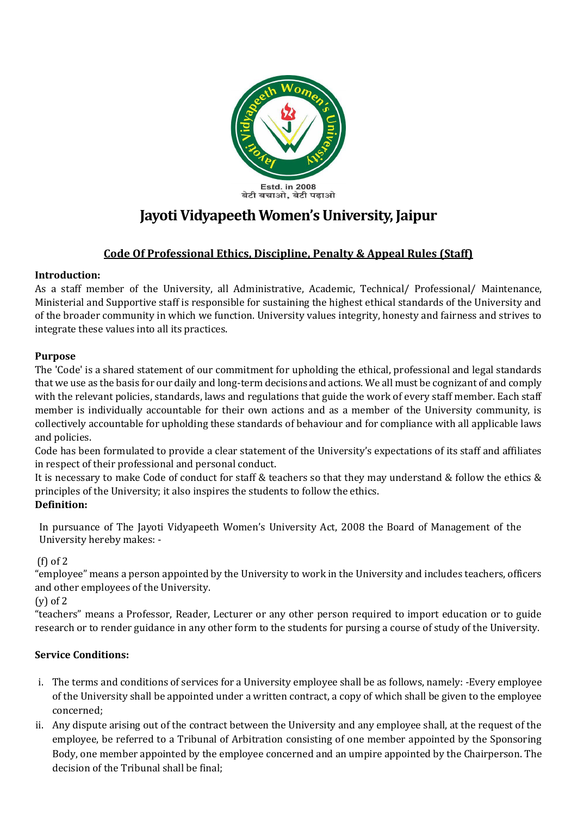

# **Jayoti Vidyapeeth Women's University, Jaipur**

## **Code Of Professional Ethics, Discipline, Penalty & Appeal Rules (Staff)**

## **Introduction:**

As a staff member of the University, all Administrative, Academic, Technical/ Professional/ Maintenance, Ministerial and Supportive staff is responsible for sustaining the highest ethical standards of the University and of the broader community in which we function. University values integrity, honesty and fairness and strives to integrate these values into all its practices.

## **Purpose**

The 'Code' is a shared statement of our commitment for upholding the ethical, professional and legal standards that we use as the basis for our daily and long-term decisions and actions. We all must be cognizant of and comply with the relevant policies, standards, laws and regulations that guide the work of every staff member. Each staff member is individually accountable for their own actions and as a member of the University community, is collectively accountable for upholding these standards of behaviour and for compliance with all applicable laws and policies.

Code has been formulated to provide a clear statement of the University's expectations of its staff and affiliates in respect of their professional and personal conduct.

It is necessary to make Code of conduct for staff & teachers so that they may understand & follow the ethics & principles of the University; it also inspires the students to follow the ethics.

## **Definition:**

In pursuance of The Jayoti Vidyapeeth Women's University Act, 2008 the Board of Management of the University hereby makes: -

## (f) of 2

"employee" means a person appointed by the University to work in the University and includes teachers, officers and other employees of the University.

(y) of 2

"teachers" means a Professor, Reader, Lecturer or any other person required to import education or to guide research or to render guidance in any other form to the students for pursing a course of study of the University.

## **Service Conditions:**

- i. The terms and conditions of services for a University employee shall be as follows, namely: -Every employee of the University shall be appointed under a written contract, a copy of which shall be given to the employee concerned;
- ii. Any dispute arising out of the contract between the University and any employee shall, at the request of the employee, be referred to a Tribunal of Arbitration consisting of one member appointed by the Sponsoring Body, one member appointed by the employee concerned and an umpire appointed by the Chairperson. The decision of the Tribunal shall be final;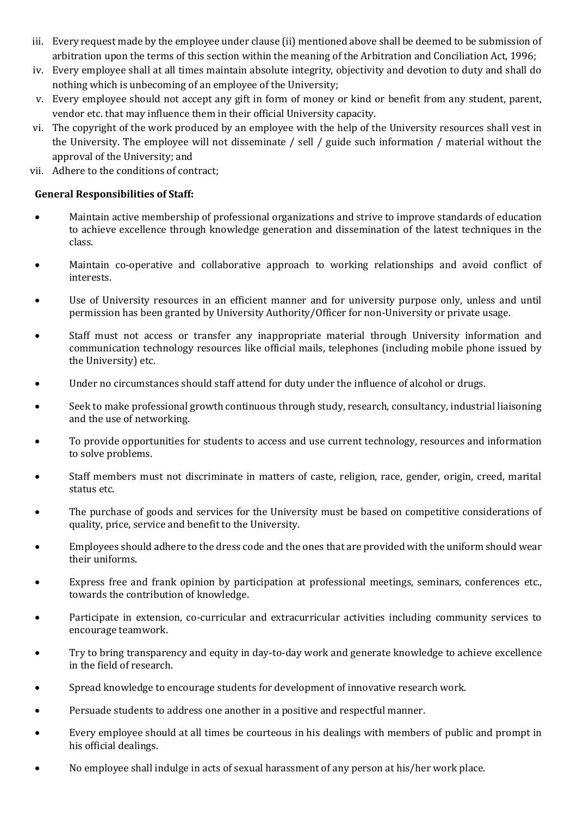- iii. Every request made by the employee under clause (ii) mentioned above shall be deemed to be submission of arbitration upon the terms of this section within the meaning of the Arbitration and Conciliation Act, 1996;
- iv. Every employee shall at all times maintain absolute integrity, objectivity and devotion to duty and shall do nothing which is unbecoming of an employee of the University;
- v. Every employee should not accept any gift in form of money or kind or benefit from any student, parent, vendor etc. that may influence them in their official University capacity.
- vi. The copyright of the work produced by an employee with the help of the University resources shall vest in the University. The employee will not disseminate / sell / guide such information / material without the approval of the University; and
- vii. Adhere to the conditions of contract;

#### **General Responsibilities of Staff:**

- Maintain active membership of professional organizations and strive to improve standards of education to achieve excellence through knowledge generation and dissemination of the latest techniques in the class.
- Maintain co-operative and collaborative approach to working relationships and avoid conflict of interests.
- Use of University resources in an efficient manner and for university purpose only, unless and until permission has been granted by University Authority/Officer for non-University or private usage.
- Staff must not access or transfer any inappropriate material through University information and communication technology resources like official mails, telephones (including mobile phone issued by the University) etc.
- Under no circumstances should staff attend for duty under the influence of alcohol or drugs.
- Seek to make professional growth continuous through study, research, consultancy, industrial liaisoning and the use of networking.
- To provide opportunities for students to access and use current technology, resources and information to solve problems.
- Staff members must not discriminate in matters of caste, religion, race, gender, origin, creed, marital status etc.
- The purchase of goods and services for the University must be based on competitive considerations of quality, price, service and benefit to the University.
- Employees should adhere to the dress code and the ones that are provided with the uniform should wear their uniforms.
- Express free and frank opinion by participation at professional meetings, seminars, conferences etc., towards the contribution of knowledge.
- Participate in extension, co-curricular and extracurricular activities including community services to encourage teamwork.
- Try to bring transparency and equity in day-to-day work and generate knowledge to achieve excellence in the field of research.
- Spread knowledge to encourage students for development of innovative research work.
- Persuade students to address one another in a positive and respectful manner.
- Every employee should at all times be courteous in his dealings with members of public and prompt in his official dealings.
- No employee shall indulge in acts of sexual harassment of any person at his/her work place.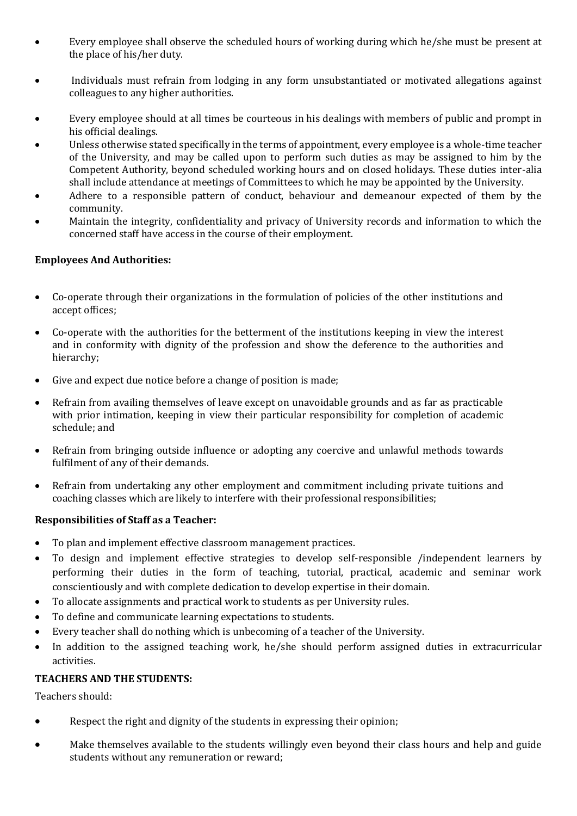- Every employee shall observe the scheduled hours of working during which he/she must be present at the place of his/her duty.
- Individuals must refrain from lodging in any form unsubstantiated or motivated allegations against colleagues to any higher authorities.
- Every employee should at all times be courteous in his dealings with members of public and prompt in his official dealings.
- Unless otherwise stated specifically in the terms of appointment, every employee is a whole-time teacher of the University, and may be called upon to perform such duties as may be assigned to him by the Competent Authority, beyond scheduled working hours and on closed holidays. These duties inter-alia shall include attendance at meetings of Committees to which he may be appointed by the University.
- Adhere to a responsible pattern of conduct, behaviour and demeanour expected of them by the community.
- Maintain the integrity, confidentiality and privacy of University records and information to which the concerned staff have access in the course of their employment.

#### **Employees And Authorities:**

- Co-operate through their organizations in the formulation of policies of the other institutions and accept offices;
- Co-operate with the authorities for the betterment of the institutions keeping in view the interest and in conformity with dignity of the profession and show the deference to the authorities and hierarchy;
- Give and expect due notice before a change of position is made;
- Refrain from availing themselves of leave except on unavoidable grounds and as far as practicable with prior intimation, keeping in view their particular responsibility for completion of academic schedule; and
- Refrain from bringing outside influence or adopting any coercive and unlawful methods towards fulfilment of any of their demands.
- Refrain from undertaking any other employment and commitment including private tuitions and coaching classes which are likely to interfere with their professional responsibilities;

#### **Responsibilities of Staff as a Teacher:**

- To plan and implement effective classroom management practices.
- To design and implement effective strategies to develop self-responsible /independent learners by performing their duties in the form of teaching, tutorial, practical, academic and seminar work conscientiously and with complete dedication to develop expertise in their domain.
- To allocate assignments and practical work to students as per University rules.
- To define and communicate learning expectations to students.
- Every teacher shall do nothing which is unbecoming of a teacher of the University.
- In addition to the assigned teaching work, he/she should perform assigned duties in extracurricular activities.

#### **TEACHERS AND THE STUDENTS:**

Teachers should:

- Respect the right and dignity of the students in expressing their opinion;
- Make themselves available to the students willingly even beyond their class hours and help and guide students without any remuneration or reward;